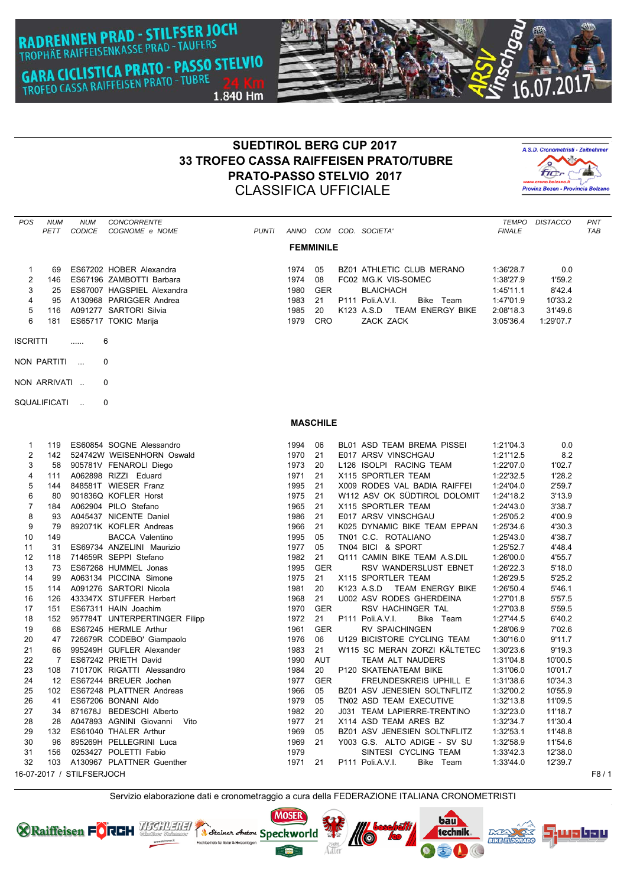**RADRENNEN PRAD - STILFSER JOCH**<br>TROPHÄE RAIFFEISENKASSE PRAD - TAUFERS **GARA CICLISTICA PRATO - PASSO STELVIO** GARA CICLISTICA PRATO - TUBRE<br>TROFEO CASSA RAIFFEISEN PRATO - TUBRE 1.840 Hm



## **SUEDTIROL BERG CUP 2017 33 TROFEO CASSA RAIFFEISEN PRATO/TUBRE PRATO-PASSO STELVIO 2017** CLASSIFICA UFFICIALE



| <b>POS</b>        | <b>NUM</b><br>PETT | <b>NUM</b><br><b>CODICE</b> | <b>CONCORRENTE</b><br>COGNOME e NOME                          | <b>PUNTI</b> |              |                  |  | ANNO COM COD. SOCIETA'                        | <b>FINALE</b>          | TEMPO DISTACCO   | PNT<br>TAB |
|-------------------|--------------------|-----------------------------|---------------------------------------------------------------|--------------|--------------|------------------|--|-----------------------------------------------|------------------------|------------------|------------|
| <b>FEMMINILE</b>  |                    |                             |                                                               |              |              |                  |  |                                               |                        |                  |            |
| $\mathbf{1}$      | 69                 |                             | ES67202 HOBER Alexandra                                       |              | 1974 05      |                  |  | BZ01 ATHLETIC CLUB MERANO                     | 1:36'28.7              | 0.0              |            |
| $\overline{2}$    |                    |                             | 146 ES67196 ZAMBOTTI Barbara                                  |              | 1974         | - 08             |  | FC02 MG.K VIS-SOMEC                           | 1:38'27.9              | 1'59.2           |            |
| 3                 |                    |                             | 25 ES67007 HAGSPIEL Alexandra                                 |              | 1980         | GER              |  | <b>BLAICHACH</b>                              | 1:45'11.1              | 8'42.4           |            |
| 4                 | 95                 |                             | A130968 PARIGGER Andrea                                       |              | 1983         | 21               |  | P111 Poli.A.V.I.<br>Bike Team                 | 1:47'01.9              | 10'33.2          |            |
| 5                 | 116                |                             | A091277 SARTORI Silvia                                        |              | 1985         | 20               |  | K123 A.S.D TEAM ENERGY BIKE                   | 2:08'18.3              | 31'49.6          |            |
| 6                 | 181                |                             | ES65717 TOKIC Marija                                          |              | 1979         | CRO              |  | ZACK ZACK                                     | 3:05'36.4              | 1:29'07.7        |            |
| <b>ISCRITTI</b>   |                    |                             | 6                                                             |              |              |                  |  |                                               |                        |                  |            |
| NON PARTITI<br>0  |                    |                             |                                                               |              |              |                  |  |                                               |                        |                  |            |
| NON ARRIVATI<br>0 |                    |                             |                                                               |              |              |                  |  |                                               |                        |                  |            |
| SQUALIFICATI<br>0 |                    |                             |                                                               |              |              |                  |  |                                               |                        |                  |            |
|                   |                    |                             |                                                               |              |              |                  |  |                                               |                        |                  |            |
|                   |                    |                             |                                                               |              |              | <b>MASCHILE</b>  |  |                                               |                        |                  |            |
| 1                 |                    |                             | 119 ES60854 SOGNE Alessandro                                  |              | 1994 06      |                  |  | BL01 ASD TEAM BREMA PISSEI                    | 1:21'04.3              | 0.0              |            |
| $\overline{2}$    |                    |                             | 142 524742W WEISENHORN Oswald                                 |              | 1970         | 21               |  | E017 ARSV VINSCHGAU                           | 1:21'12.5              | 8.2              |            |
| 3                 |                    |                             | 58 905781V FENAROLI Diego                                     |              | 1973         | 20               |  | L126 ISOLPI RACING TEAM                       | 1:22'07.0              | 1'02.7           |            |
| 4                 |                    |                             | 111 A062898 RIZZI Eduard                                      |              | 1971         | 21               |  | X115 SPORTLER TEAM                            | 1:22'32.5              | 1'28.2           |            |
| 5                 | 144                |                             | 848581T WIESER Franz                                          |              | 1995         | 21               |  | X009 RODES VAL BADIA RAIFFEI                  | 1:24'04.0              | 2'59.7           |            |
| 6                 | 80                 |                             | 901836Q KOFLER Horst                                          |              | 1975         | 21               |  | W112 ASV OK SÜDTIROL DOLOMIT                  | 1:24'18.2              | 3'13.9           |            |
| $\overline{7}$    |                    |                             | 184 A062904 PILO Stefano                                      |              | 1965         | 21               |  | X115 SPORTLER TEAM                            | 1:24'43.0              | 3'38.7           |            |
| 8                 |                    |                             | 93 A045437 NICENTE Daniel                                     |              | 1986         | 21               |  | E017 ARSV VINSCHGAU                           | 1:25'05.2              | 4'00.9           |            |
| 9                 |                    |                             | 79 892071K KOFLER Andreas                                     |              | 1966         | 21               |  | K025 DYNAMIC BIKE TEAM EPPAN                  | 1:25'34.6              | 4'30.3           |            |
| 10                | 149                |                             | <b>BACCA Valentino</b>                                        |              | 1995         | 05               |  | TN01 C.C. ROTALIANO                           | 1:25'43.0              | 4'38.7           |            |
| 11                | 31                 |                             | ES69734 ANZELINI Maurizio                                     |              | 1977         | 05               |  | TN04 BICI & SPORT                             | 1:25'52.7              | 4'48.4           |            |
| 12                |                    |                             | 118 714659R SEPPI Stefano                                     |              | 1982         | 21               |  | Q111 CAMIN BIKE TEAM A.S.DIL                  | 1:26'00.0              | 4'55.7           |            |
| 13                | 73                 |                             | ES67268 HUMMEL Jonas                                          |              | 1995         | <b>GER</b>       |  | RSV WANDERSLUST EBNET                         | 1:26'22.3              | 5'18.0           |            |
| 14                | 99                 |                             | A063134 PICCINA Simone                                        |              | 1975         | 21               |  | X115 SPORTLER TEAM                            | 1:26'29.5              | 5'25.2           |            |
| 15                |                    |                             | 114 A091276 SARTORI Nicola                                    |              | 1981         | 20               |  | K123 A.S.D TEAM ENERGY BIKE                   | 1:26'50.4              | 5'46.1           |            |
| 16                | 126                |                             | 433347X STUFFER Herbert                                       |              | 1968<br>1970 | 21<br><b>GER</b> |  | U002 ASV RODES GHERDEINA<br>RSV HACHINGER TAL | 1:27'01.8              | 5'57.5<br>5'59.5 |            |
| 17<br>18          |                    |                             | 151 ES67311 HAIN Joachim<br>152 957784T UNTERPERTINGER Filipp |              | 1972         | 21               |  | P111 Poli.A.V.I.<br>Bike Team                 | 1:27'03.8<br>1:27'44.5 | 6'40.2           |            |
| 19                | 68                 |                             | ES67245 HERMLE Arthur                                         |              | 1961         | <b>GER</b>       |  | <b>RV SPAICHINGEN</b>                         | 1:28'06.9              | 7'02.6           |            |
| 20                |                    |                             | 47 726679R CODEBO' Giampaolo                                  |              | 1976         | 06               |  | U129 BICISTORE CYCLING TEAM                   | 1:30'16.0              | 9'11.7           |            |
| 21                | 66                 |                             | 995249H GUFLER Alexander                                      |              | 1983         | 21               |  | W115 SC MERAN ZORZI KÄLTETEC                  | 1:30'23.6              | 9'19.3           |            |
| 22                | $\overline{7}$     |                             | ES67242 PRIETH David                                          |              | 1990         | AUT              |  | TEAM ALT NAUDERS                              | 1:31'04.8              | 10'00.5          |            |
| 23                | 108                |                             | 710170K RIGATTI Alessandro                                    |              | 1984         | 20               |  | P120 SKATENATEAM BIKE                         | 1:31'06.0              | 10'01.7          |            |
| 24                |                    |                             | 12 ES67244 BREUER Jochen                                      |              | 1977         | <b>GER</b>       |  | FREUNDESKREIS UPHILL E                        | 1:31'38.6              | 10'34.3          |            |
| 25                |                    |                             | 102 ES67248 PLATTNER Andreas                                  |              |              |                  |  | 1966 05 BZ01 ASV JENESIEN SOLTNFLITZ          | 1:32'00.2              | 10'55.9          |            |
| 26                | 41                 |                             | ES67206 BONANI Aldo                                           |              | 1979 05      |                  |  | TN02 ASD TEAM EXECUTIVE                       | 1:32'13.8              | 11'09.5          |            |
| 27                |                    |                             | 34 871678J BEDESCHI Alberto                                   |              | 1982         | 20               |  | J031 TEAM LAPIERRE-TRENTINO                   | 1:32'23.0              | 11'18.7          |            |
| 28                |                    |                             | 28 A047893 AGNINI Giovanni Vito                               |              | 1977         | 21               |  | X114 ASD TEAM ARES BZ                         | 1:32'34.7              | 11'30.4          |            |
| 29                |                    |                             | 132 ES61040 THALER Arthur                                     |              | 1969         | 05               |  | BZ01 ASV JENESIEN SOLTNFLITZ                  | 1:32'53.1              | 11'48.8          |            |
| 30                |                    |                             | 96 895269H PELLEGRINI Luca                                    |              | 1969         | 21               |  | Y003 G.S. ALTO ADIGE - SV SU                  | 1:32'58.9              | 11'54.6          |            |
| 31                | 156                |                             | 0253427 POLETTI Fabio                                         |              | 1979         |                  |  | SINTESI CYCLING TEAM                          | 1:33'42.3              | 12'38.0          |            |
| 32                |                    |                             | 103 A130967 PLATTNER Guenther                                 |              | 1971         | -21              |  | P111 Poli.A.V.I.<br>Bike Team                 | 1:33'44.0              | 12'39.7          |            |
|                   |                    | 16-07-2017 / STILFSERJOCH   |                                                               |              |              |                  |  |                                               |                        |                  | F8/1       |

Servizio elaborazione dati e cronometraggio a cura della FEDERAZIONE ITALIANA CRONOMETRISTI

<u>WO</u>

Adler

bau

technik

**DOWN** 

**BIKE ELDORADO** 

**MOSER** 

**EGE** 

**CRaiffeisen FORCH HEGHLEHEN TR Steiner chaten Speckworld** 

703030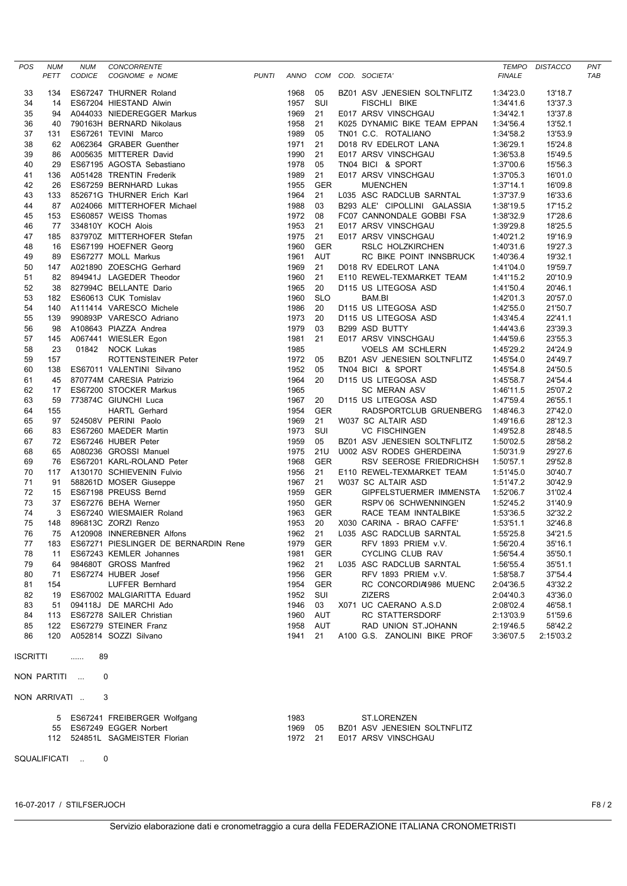| <b>POS</b>                 | <b>NUM</b>   | <b>NUM</b>    | CONCORRENTE                                           |              |              |                   |  |                                                   |                        | TEMPO DISTACCO     | <b>PNT</b> |
|----------------------------|--------------|---------------|-------------------------------------------------------|--------------|--------------|-------------------|--|---------------------------------------------------|------------------------|--------------------|------------|
|                            | PETT         | <b>CODICE</b> | COGNOME e NOME                                        | <b>PUNTI</b> | ANNO         |                   |  | COM COD. SOCIETA'                                 | <b>FINALE</b>          |                    | <b>TAB</b> |
| 33                         | 134          |               | ES67247 THURNER Roland                                |              | 1968         | 05                |  | BZ01 ASV JENESIEN SOLTNFLITZ                      | 1:34'23.0              | 13'18.7            |            |
| 34                         | 14           |               | ES67204 HIESTAND Alwin                                |              | 1957         | SUI               |  | FISCHLI BIKE                                      | 1:34'41.6              | 13'37.3            |            |
| 35                         | 94           |               | A044033 NIEDEREGGER Markus                            |              | 1969         | 21                |  | E017 ARSV VINSCHGAU                               | 1:34'42.1              | 13'37.8            |            |
| 36                         | 40           |               | 790163H BERNARD Nikolaus                              |              | 1958         | 21                |  | K025 DYNAMIC BIKE TEAM EPPAN                      | 1:34'56.4              | 13'52.1            |            |
| 37                         | 131          |               | ES67261 TEVINI Marco                                  |              | 1989         | 05                |  | TN01 C.C. ROTALIANO                               | 1:34'58.2              | 13'53.9            |            |
| 38                         | 62           |               | A062364 GRABER Guenther                               |              | 1971         | 21                |  | D018 RV EDELROT LANA                              | 1:36'29.1              | 15'24.8            |            |
| 39                         | 86           |               | A005635 MITTERER David                                |              | 1990         | 21                |  | E017 ARSV VINSCHGAU                               | 1:36'53.8              | 15'49.5            |            |
| 40<br>41                   | 29<br>136    |               | ES67195 AGOSTA Sebastiano<br>A051428 TRENTIN Frederik |              | 1978<br>1989 | 05<br>21          |  | TN04 BICI & SPORT                                 | 1:37'00.6<br>1:37'05.3 | 15'56.3            |            |
| 42                         | 26           |               | ES67259 BERNHARD Lukas                                |              | 1955         | <b>GER</b>        |  | E017 ARSV VINSCHGAU<br><b>MUENCHEN</b>            | 1:37'14.1              | 16'01.0<br>16'09.8 |            |
| 43                         | 133          |               | 852671G THURNER Erich Karl                            |              | 1964         | 21                |  | L035 ASC RADCLUB SARNTAL                          | 1:37'37.9              | 16'33.6            |            |
| 44                         | 87           |               | A024066 MITTERHOFER Michael                           |              | 1988         | 03                |  | B293 ALE' CIPOLLINI GALASSIA                      | 1:38'19.5              | 17'15.2            |            |
| 45                         | 153          |               | ES60857 WEISS Thomas                                  |              | 1972         | 08                |  | FC07 CANNONDALE GOBBI FSA                         | 1:38'32.9              | 17'28.6            |            |
| 46                         | 77           |               | 334810Y KOCH Alois                                    |              | 1953         | 21                |  | E017 ARSV VINSCHGAU                               | 1:39'29.8              | 18'25.5            |            |
| 47                         | 185          |               | 837970Z MITTERHOFER Stefan                            |              | 1975         | 21                |  | E017 ARSV VINSCHGAU                               | 1:40'21.2              | 19'16.9            |            |
| 48                         | 16           |               | ES67199 HOEFNER Georg                                 |              | 1960         | <b>GER</b>        |  | RSLC HOLZKIRCHEN                                  | 1:40'31.6              | 19'27.3            |            |
| 49                         | 89           |               | ES67277 MOLL Markus                                   |              | 1961         | <b>AUT</b>        |  | RC BIKE POINT INNSBRUCK                           | 1:40'36.4              | 19'32.1            |            |
| 50                         | 147          |               | A021890 ZOESCHG Gerhard                               |              | 1969<br>1960 | 21<br>21          |  | D018 RV EDELROT LANA                              | 1:41'04.0              | 19'59.7            |            |
| 51<br>52                   | 82<br>38     |               | 894941J LAGEDER Theodor<br>827994C BELLANTE Dario     |              | 1965         | 20                |  | E110 REWEL-TEXMARKET TEAM<br>D115 US LITEGOSA ASD | 1:41'15.2<br>1:41'50.4 | 20'10.9<br>20'46.1 |            |
| 53                         | 182          |               | ES60613 CUK Tomislav                                  |              | 1960         | <b>SLO</b>        |  | BAM.BI                                            | 1:42'01.3              | 20'57.0            |            |
| 54                         | 140          |               | A111414 VARESCO Michele                               |              | 1986         | 20                |  | D115 US LITEGOSA ASD                              | 1:42'55.0              | 21'50.7            |            |
| 55                         | 139          |               | 990893P VARESCO Adriano                               |              | 1973         | 20                |  | D115 US LITEGOSA ASD                              | 1:43'45.4              | 22'41.1            |            |
| 56                         | 98           |               | A108643 PIAZZA Andrea                                 |              | 1979         | 03                |  | B299 ASD BUTTY                                    | 1:44'43.6              | 23'39.3            |            |
| 57                         | 145          |               | A067441 WIESLER Egon                                  |              | 1981         | 21                |  | E017 ARSV VINSCHGAU                               | 1:44'59.6              | 23'55.3            |            |
| 58                         | 23           |               | 01842 NOCK Lukas                                      |              | 1985         |                   |  | VOELS AM SCHLERN                                  | 1:45'29.2              | 24'24.9            |            |
| 59                         | 157          |               | ROTTENSTEINER Peter                                   |              | 1972         | 05                |  | BZ01 ASV JENESIEN SOLTNFLITZ                      | 1:45'54.0              | 24'49.7            |            |
| 60                         | 138          |               | ES67011 VALENTINI Silvano                             |              | 1952         | 05                |  | TN04 BICI & SPORT                                 | 1:45'54.8              | 24'50.5            |            |
| 61<br>62                   | 45<br>17     |               | 870774M CARESIA Patrizio<br>ES67200 STOCKER Markus    |              | 1964<br>1965 | 20                |  | D115 US LITEGOSA ASD<br><b>SC MERAN ASV</b>       | 1:45'58.7<br>1:46'11.5 | 24'54.4<br>25'07.2 |            |
| 63                         | 59           |               | 773874C GIUNCHI Luca                                  |              | 1967         | 20                |  | D115 US LITEGOSA ASD                              | 1:47'59.4              | 26'55.1            |            |
| 64                         | 155          |               | <b>HARTL Gerhard</b>                                  |              | 1954         | <b>GER</b>        |  | RADSPORTCLUB GRUENBERG                            | 1:48'46.3              | 27'42.0            |            |
| 65                         | 97           |               | 524508V PERINI Paolo                                  |              | 1969         | 21                |  | W037 SC ALTAIR ASD                                | 1:49'16.6              | 28'12.3            |            |
| 66                         | 83           |               | ES67260 MAEDER Martin                                 |              | 1973         | SUI               |  | <b>VC FISCHINGEN</b>                              | 1:49'52.8              | 28'48.5            |            |
| 67                         | 72           |               | ES67246 HUBER Peter                                   |              | 1959         | 05                |  | BZ01 ASV JENESIEN SOLTNFLITZ                      | 1:50'02.5              | 28'58.2            |            |
| 68                         | 65           |               | A080236 GROSSI Manuel                                 |              | 1975         | 21U               |  | U002 ASV RODES GHERDEINA                          | 1:50'31.9              | 29'27.6            |            |
| 69                         | 76           |               | ES67201 KARL-ROLAND Peter                             |              | 1968         | <b>GER</b>        |  | RSV SEEROSE FRIEDRICHSH                           | 1:50'57.1              | 29'52.8            |            |
| 70                         | 117          |               | A130170 SCHIEVENIN Fulvio                             |              | 1956         | 21                |  | E110 REWEL-TEXMARKET TEAM                         | 1:51'45.0              | 30'40.7            |            |
| 71<br>72                   | 91<br>15     |               | 588261D MOSER Giuseppe<br>ES67198 PREUSS Bernd        |              | 1967<br>1959 | 21<br><b>GER</b>  |  | W037 SC ALTAIR ASD<br>GIPFELSTUERMER IMMENSTA     | 1:51'47.2<br>1:52'06.7 | 30'42.9<br>31'02.4 |            |
| 73                         | 37           |               | ES67276 BEHA Werner                                   |              | 1950         | <b>GER</b>        |  | RSPV 06 SCHWENNINGEN                              | 1:52'45.2              | 31'40.9            |            |
| 74                         | 3            |               | ES67240 WIESMAIER Roland                              |              | 1963         | <b>GER</b>        |  | RACE TEAM INNTALBIKE                              | 1:53'36.5              | 32'32.2            |            |
| 75                         | 148          |               | 896813C ZORZI Renzo                                   |              | 1953         | 20                |  | X030 CARINA - BRAO CAFFE'                         | 1:53'51.1              | 32'46.8            |            |
| 76                         | 75           |               | A120908 INNEREBNER Alfons                             |              | 1962         | 21                |  | L035 ASC RADCLUB SARNTAL                          | 1:55'25.8              | 34'21.5            |            |
| 77                         | 183          |               | ES67271 PIESLINGER DE BERNARDIN Rene                  |              | 1979         | <b>GER</b>        |  | RFV 1893 PRIEM v.V.                               | 1:56'20.4              | 35'16.1            |            |
| 78                         |              |               | 11 ES67243 KEMLER Johannes                            |              | 1981         | <b>GER</b>        |  | CYCLING CLUB RAV                                  | 1:56'54.4              | 35'50.1            |            |
| 79                         | 64           |               | 984680T GROSS Manfred                                 |              | 1962         | 21                |  | L035 ASC RADCLUB SARNTAL                          | 1:56'55.4              | 35'51.1            |            |
| 80                         | 71           |               | ES67274 HUBER Josef                                   |              | 1956         | <b>GER</b>        |  | RFV 1893 PRIEM v.V.                               | 1:58'58.7              | 37'54.4            |            |
| 81<br>82                   | 154<br>19    |               | LUFFER Bernhard<br>ES67002 MALGIARITTA Eduard         |              | 1954<br>1952 | <b>GER</b><br>SUI |  | RC CONCORDIA 986 MUENC<br><b>ZIZERS</b>           | 2:04'36.5<br>2:04'40.3 | 43'32.2<br>43'36.0 |            |
| 83                         |              |               | 51 094118J DE MARCHI Ado                              |              | 1946         | 03                |  | X071 UC CAERANO A.S.D                             | 2:08'02.4              | 46'58.1            |            |
| 84                         |              |               | 113 ES67278 SAILER Christian                          |              | 1960         | <b>AUT</b>        |  | RC STATTERSDORF                                   | 2:13'03.9              | 51'59.6            |            |
| 85                         | 122          |               | ES67279 STEINER Franz                                 |              | 1958         | AUT               |  | RAD UNION ST.JOHANN                               | 2:19'46.5              | 58'42.2            |            |
| 86                         |              |               | 120 A052814 SOZZI Silvano                             |              | 1941         | 21                |  | A100 G.S. ZANOLINI BIKE PROF                      | 3:36'07.5              | 2:15'03.2          |            |
| <b>ISCRITTI</b><br>89<br>. |              |               |                                                       |              |              |                   |  |                                                   |                        |                    |            |
|                            | NON PARTITI  |               | 0                                                     |              |              |                   |  |                                                   |                        |                    |            |
|                            | NON ARRIVATI |               | 3                                                     |              |              |                   |  |                                                   |                        |                    |            |
|                            |              |               | 5 ES67241 FREIBERGER Wolfgang                         |              | 1983         |                   |  | ST.LORENZEN                                       |                        |                    |            |
|                            |              |               | 55 ES67249 EGGER Norbert                              |              | 1969         | 05                |  | BZ01 ASV JENESIEN SOLTNFLITZ                      |                        |                    |            |
|                            |              |               | 112 524851L SAGMEISTER Florian                        |              | 1972 21      |                   |  | E017 ARSV VINSCHGAU                               |                        |                    |            |
|                            |              |               |                                                       |              |              |                   |  |                                                   |                        |                    |            |
|                            |              | SQUALIFICATI  | $\mathbf 0$                                           |              |              |                   |  |                                                   |                        |                    |            |

16-07-2017 / STILFSERJOCH F8 / 2